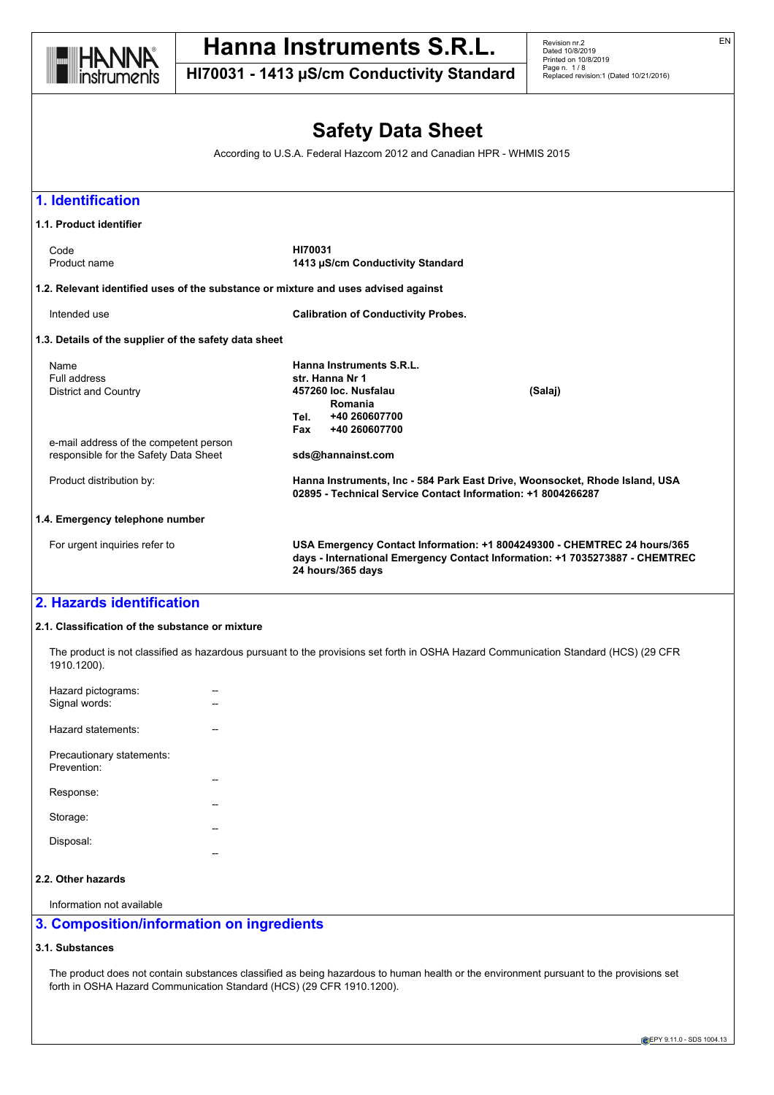

**HI70031 - 1413 µS/cm Conductivity Standard**

Revision nr.2 Dated 10/8/2019 Printed on 10/8/2019 Page n. 1 / 8 Replaced revision:1 (Dated 10/21/2016)

## **Safety Data Sheet**

According to U.S.A. Federal Hazcom 2012 and Canadian HPR - WHMIS 2015



#### **2.1. Classification of the substance or mixture**

The product is not classified as hazardous pursuant to the provisions set forth in OSHA Hazard Communication Standard (HCS) (29 CFR 1910.1200).

| Hazard pictograms:<br>Signal words:                  |  |
|------------------------------------------------------|--|
| Hazard statements:                                   |  |
| Precautionary statements:<br>Prevention <sup>.</sup> |  |
| Response:                                            |  |
| Storage:                                             |  |
| Disposal:                                            |  |
|                                                      |  |

## **2.2. Other hazards**

Information not available

## **3. Composition/information on ingredients**

## **3.1. Substances**

The product does not contain substances classified as being hazardous to human health or the environment pursuant to the provisions set forth in OSHA Hazard Communication Standard (HCS) (29 CFR 1910.1200).

EN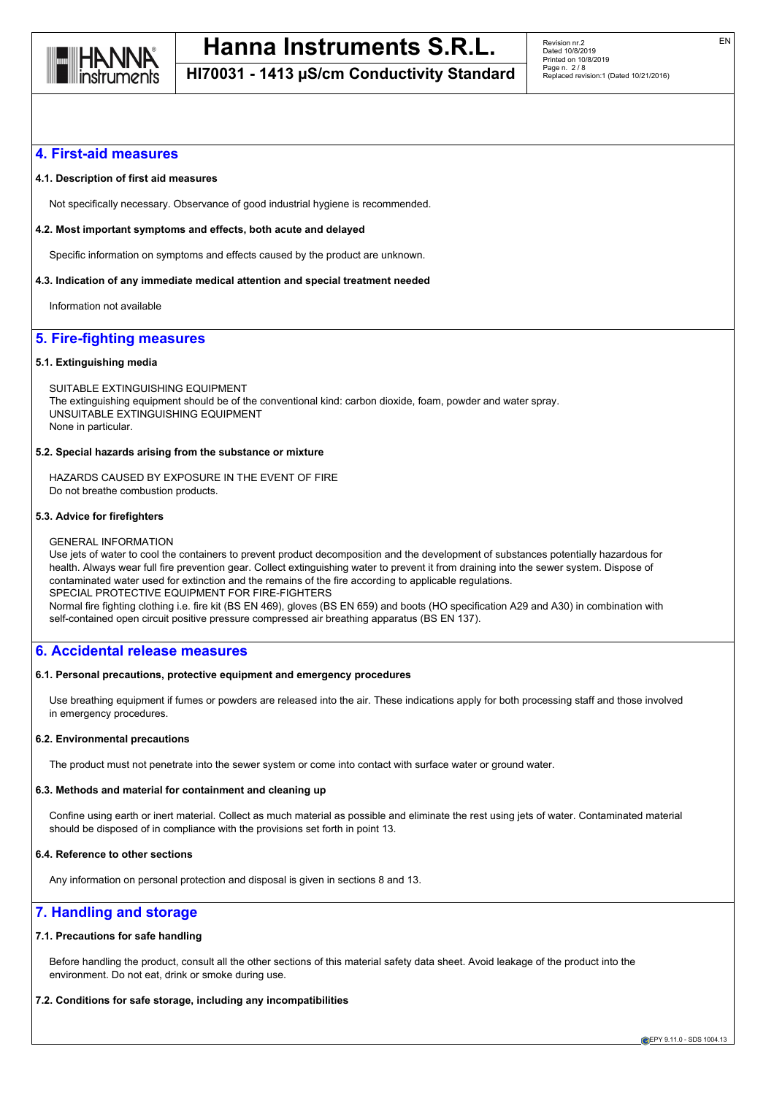

**HI70031 - 1413 µS/cm Conductivity Standard**

### **4. First-aid measures**

#### **4.1. Description of first aid measures**

Not specifically necessary. Observance of good industrial hygiene is recommended.

#### **4.2. Most important symptoms and effects, both acute and delayed**

Specific information on symptoms and effects caused by the product are unknown.

#### **4.3. Indication of any immediate medical attention and special treatment needed**

Information not available

## **5. Fire-fighting measures**

#### **5.1. Extinguishing media**

SUITABLE EXTINGUISHING EQUIPMENT The extinguishing equipment should be of the conventional kind: carbon dioxide, foam, powder and water spray. UNSUITABLE EXTINGUISHING EQUIPMENT None in particular.

#### **5.2. Special hazards arising from the substance or mixture**

HAZARDS CAUSED BY EXPOSURE IN THE EVENT OF FIRE Do not breathe combustion products.

#### **5.3. Advice for firefighters**

#### GENERAL INFORMATION

Use jets of water to cool the containers to prevent product decomposition and the development of substances potentially hazardous for health. Always wear full fire prevention gear. Collect extinguishing water to prevent it from draining into the sewer system. Dispose of contaminated water used for extinction and the remains of the fire according to applicable regulations. SPECIAL PROTECTIVE EQUIPMENT FOR FIRE-FIGHTERS Normal fire fighting clothing i.e. fire kit (BS EN 469), gloves (BS EN 659) and boots (HO specification A29 and A30) in combination with self-contained open circuit positive pressure compressed air breathing apparatus (BS EN 137).

### **6. Accidental release measures**

#### **6.1. Personal precautions, protective equipment and emergency procedures**

Use breathing equipment if fumes or powders are released into the air. These indications apply for both processing staff and those involved in emergency procedures.

#### **6.2. Environmental precautions**

The product must not penetrate into the sewer system or come into contact with surface water or ground water.

#### **6.3. Methods and material for containment and cleaning up**

Confine using earth or inert material. Collect as much material as possible and eliminate the rest using jets of water. Contaminated material should be disposed of in compliance with the provisions set forth in point 13.

## **6.4. Reference to other sections**

Any information on personal protection and disposal is given in sections 8 and 13.

## **7. Handling and storage**

#### **7.1. Precautions for safe handling**

Before handling the product, consult all the other sections of this material safety data sheet. Avoid leakage of the product into the environment. Do not eat, drink or smoke during use.

## **7.2. Conditions for safe storage, including any incompatibilities**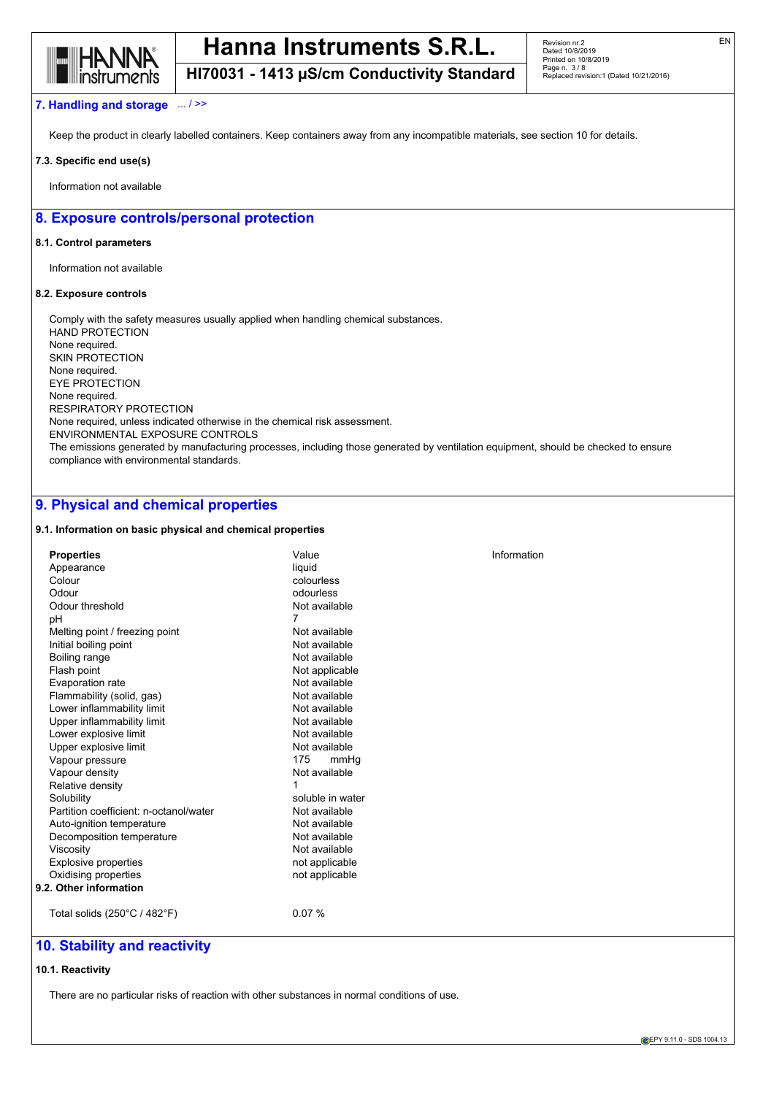

Revision nr.2 Dated 10/8/2019 Printed on 10/8/2019 Page n. 3 / 8 Replaced revision:1 (Dated 10/21/2016)

## **HI70031 - 1413 µS/cm Conductivity Standard**

#### **7. Handling and storage** ... / >>

Keep the product in clearly labelled containers. Keep containers away from any incompatible materials, see section 10 for details.

#### **7.3. Specific end use(s)**

Information not available

## **8. Exposure controls/personal protection**

#### **8.1. Control parameters**

Information not available

#### **8.2. Exposure controls**

Comply with the safety measures usually applied when handling chemical substances. HAND PROTECTION None required. SKIN PROTECTION None required. EYE PROTECTION None required. RESPIRATORY PROTECTION None required, unless indicated otherwise in the chemical risk assessment. ENVIRONMENTAL EXPOSURE CONTROLS The emissions generated by manufacturing processes, including those generated by ventilation equipment, should be checked to ensure compliance with environmental standards.

## **9. Physical and chemical properties**

#### **9.1. Information on basic physical and chemical properties**

| <b>Properties</b>                      | Value            | Information |
|----------------------------------------|------------------|-------------|
| Appearance                             | liquid           |             |
| Colour                                 | colourless       |             |
| Odour                                  | odourless        |             |
| Odour threshold                        | Not available    |             |
| pH                                     | 7                |             |
| Melting point / freezing point         | Not available    |             |
| Initial boiling point                  | Not available    |             |
| Boiling range                          | Not available    |             |
| Flash point                            | Not applicable   |             |
| Evaporation rate                       | Not available    |             |
| Flammability (solid, gas)              | Not available    |             |
| Lower inflammability limit             | Not available    |             |
| Upper inflammability limit             | Not available    |             |
| Lower explosive limit                  | Not available    |             |
| Upper explosive limit                  | Not available    |             |
| Vapour pressure                        | 175<br>mmHq      |             |
| Vapour density                         | Not available    |             |
| Relative density                       | 1                |             |
| Solubility                             | soluble in water |             |
| Partition coefficient: n-octanol/water | Not available    |             |
| Auto-ignition temperature              | Not available    |             |
| Decomposition temperature              | Not available    |             |
| Viscosity                              | Not available    |             |
| <b>Explosive properties</b>            | not applicable   |             |
| Oxidising properties                   | not applicable   |             |
| 9.2. Other information                 |                  |             |
| Total solids (250°C / 482°F)           | 0.07%            |             |

## **10. Stability and reactivity**

#### **10.1. Reactivity**

There are no particular risks of reaction with other substances in normal conditions of use.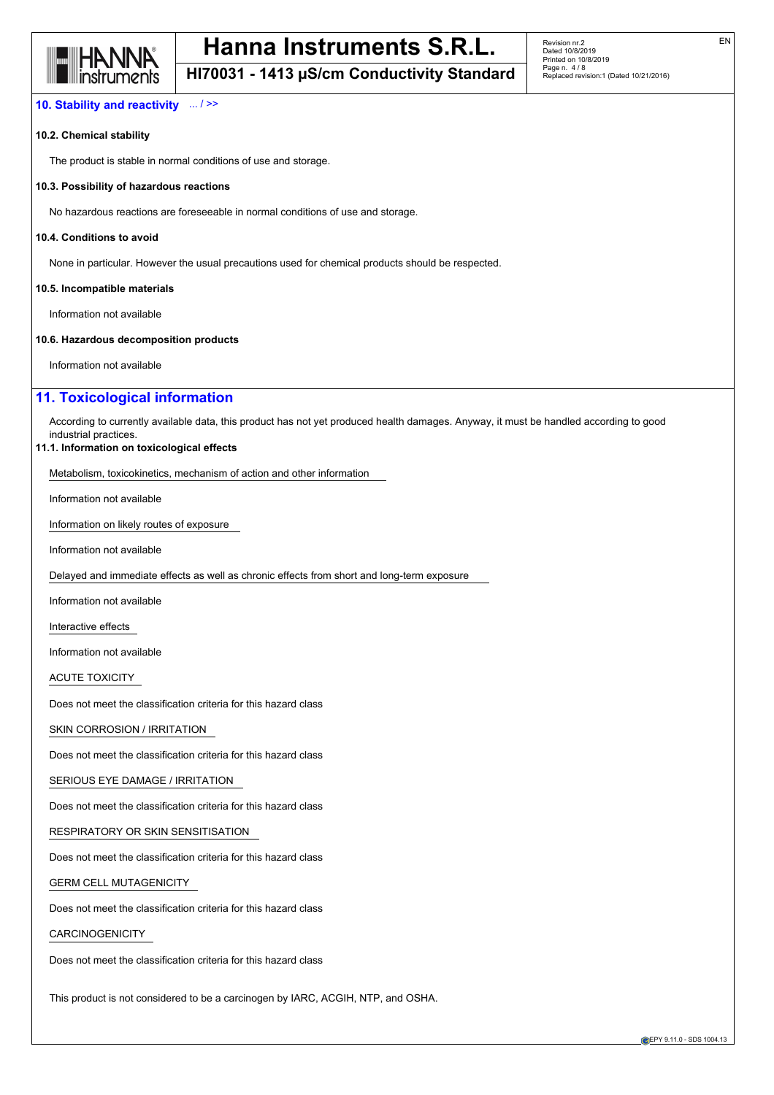

EN

## **HI70031 - 1413 µS/cm Conductivity Standard**

### **10. Stability and reactivity** ... / >>

#### **10.2. Chemical stability**

The product is stable in normal conditions of use and storage.

#### **10.3. Possibility of hazardous reactions**

No hazardous reactions are foreseeable in normal conditions of use and storage.

#### **10.4. Conditions to avoid**

None in particular. However the usual precautions used for chemical products should be respected.

#### **10.5. Incompatible materials**

Information not available

#### **10.6. Hazardous decomposition products**

Information not available

## **11. Toxicological information**

According to currently available data, this product has not yet produced health damages. Anyway, it must be handled according to good industrial practices.

#### **11.1. Information on toxicological effects**

Metabolism, toxicokinetics, mechanism of action and other information

Information not available

Information on likely routes of exposure

Information not available

Delayed and immediate effects as well as chronic effects from short and long-term exposure

Information not available

Interactive effects

Information not available

ACUTE TOXICITY

Does not meet the classification criteria for this hazard class

SKIN CORROSION / IRRITATION

Does not meet the classification criteria for this hazard class

SERIOUS EYE DAMAGE / IRRITATION

Does not meet the classification criteria for this hazard class

RESPIRATORY OR SKIN SENSITISATION

Does not meet the classification criteria for this hazard class

GERM CELL MUTAGENICITY

Does not meet the classification criteria for this hazard class

## CARCINOGENICITY

Does not meet the classification criteria for this hazard class

This product is not considered to be a carcinogen by IARC, ACGIH, NTP, and OSHA.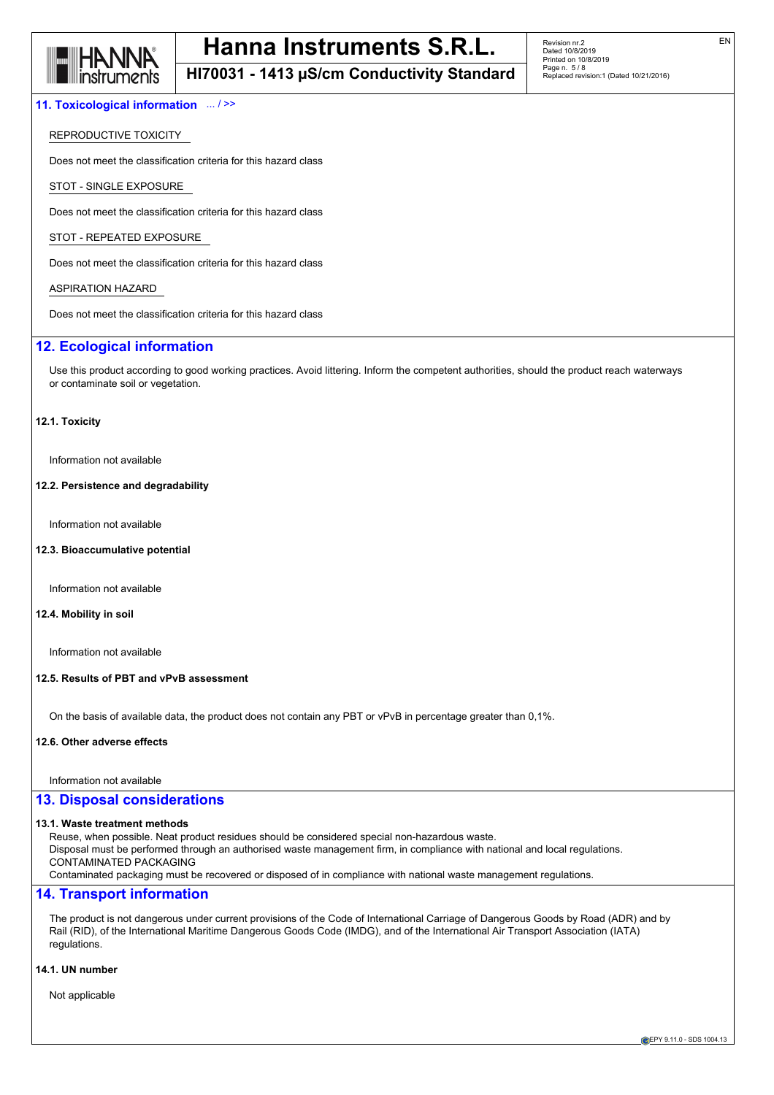

## **HI70031 - 1413 µS/cm Conductivity Standard**

#### **11. Toxicological information** ... / >>

### REPRODUCTIVE TOXICITY

Does not meet the classification criteria for this hazard class

STOT - SINGLE EXPOSURE

Does not meet the classification criteria for this hazard class

STOT - REPEATED EXPOSURE

Does not meet the classification criteria for this hazard class

#### ASPIRATION HAZARD

Does not meet the classification criteria for this hazard class

## **12. Ecological information**

Use this product according to good working practices. Avoid littering. Inform the competent authorities, should the product reach waterways or contaminate soil or vegetation.

#### **12.1. Toxicity**

Information not available

#### **12.2. Persistence and degradability**

Information not available

#### **12.3. Bioaccumulative potential**

Information not available

#### **12.4. Mobility in soil**

Information not available

#### **12.5. Results of PBT and vPvB assessment**

On the basis of available data, the product does not contain any PBT or vPvB in percentage greater than 0,1%.

#### **12.6. Other adverse effects**

Information not available

#### **13. Disposal considerations**

#### **13.1. Waste treatment methods**

Reuse, when possible. Neat product residues should be considered special non-hazardous waste. Disposal must be performed through an authorised waste management firm, in compliance with national and local regulations. CONTAMINATED PACKAGING Contaminated packaging must be recovered or disposed of in compliance with national waste management regulations.

#### **14. Transport information**

The product is not dangerous under current provisions of the Code of International Carriage of Dangerous Goods by Road (ADR) and by Rail (RID), of the International Maritime Dangerous Goods Code (IMDG), and of the International Air Transport Association (IATA) regulations.

#### **14.1. UN number**

Not applicable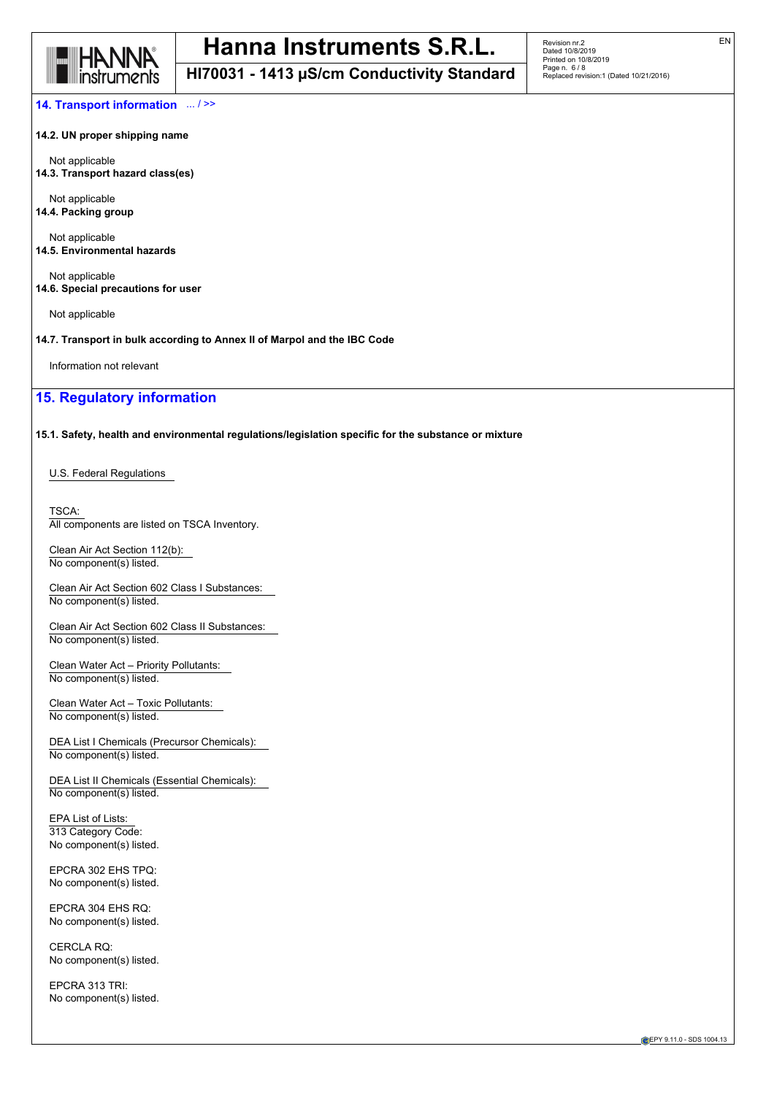

**HI70031 - 1413 µS/cm Conductivity Standard**

**14. Transport information** ... / >>

**14.2. UN proper shipping name**

Not applicable **14.3. Transport hazard class(es)**

Not applicable **14.4. Packing group**

Not applicable **14.5. Environmental hazards**

Not applicable **14.6. Special precautions for user**

Not applicable

**14.7. Transport in bulk according to Annex II of Marpol and the IBC Code**

Information not relevant

## **15. Regulatory information**

**15.1. Safety, health and environmental regulations/legislation specific for the substance or mixture**

U.S. Federal Regulations

TSCA: All components are listed on TSCA Inventory.

Clean Air Act Section 112(b): No component(s) listed.

Clean Air Act Section 602 Class I Substances: No component(s) listed.

Clean Air Act Section 602 Class II Substances: No component(s) listed.

Clean Water Act – Priority Pollutants: No component(s) listed.

Clean Water Act – Toxic Pollutants: No component(s) listed.

DEA List I Chemicals (Precursor Chemicals): No component(s) listed.

DEA List II Chemicals (Essential Chemicals): No component(s) listed.

EPA List of Lists: 313 Category Code: No component(s) listed.

EPCRA 302 EHS TPQ: No component(s) listed.

EPCRA 304 EHS RQ: No component(s) listed.

CERCLA RQ: No component(s) listed.

EPCRA 313 TRI: No component(s) listed.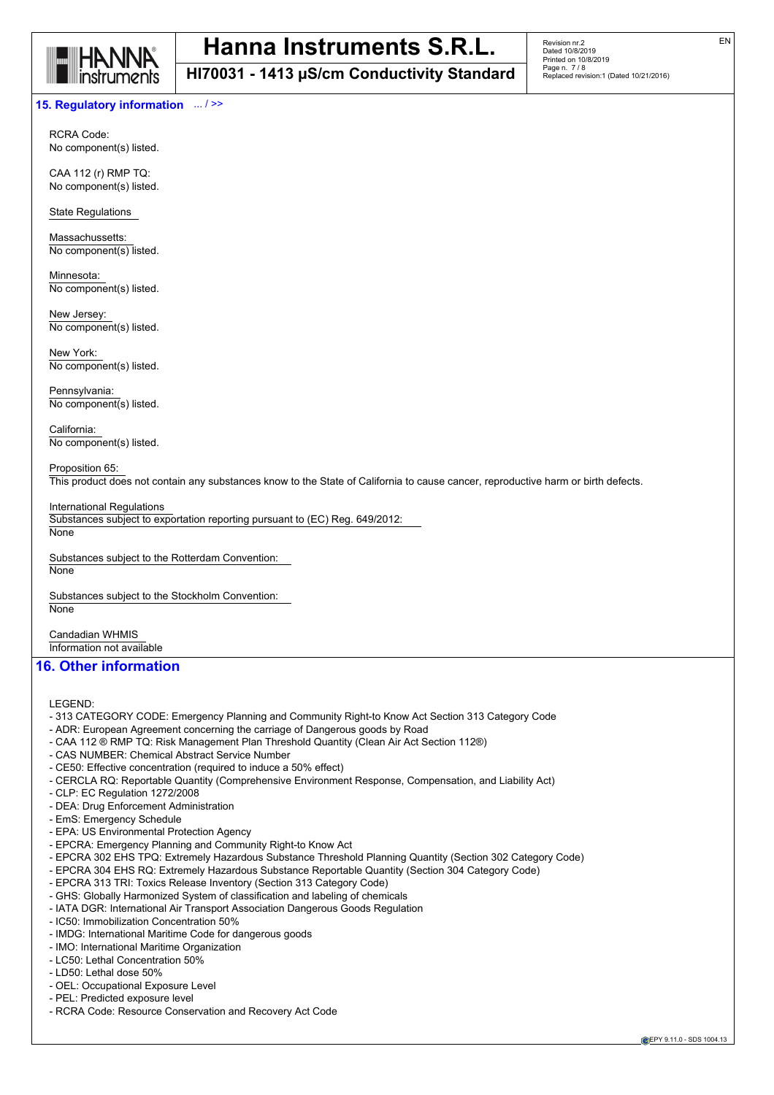

**HI70031 - 1413 µS/cm Conductivity Standard**

### **15. Regulatory information** ... / >>

RCRA Code: No component(s) listed.

CAA 112 (r) RMP TQ: No component(s) listed.

State Regulations

Massachussetts: No component(s) listed.

Minnesota: No component(s) listed.

New Jersey: No component(s) listed.

New York: No component(s) listed.

Pennsylvania: No component(s) listed.

California: No component(s) listed.

#### Proposition 65:

This product does not contain any substances know to the State of California to cause cancer, reproductive harm or birth defects.

International Regulations

Substances subject to exportation reporting pursuant to (EC) Reg. 649/2012: **None** 

Substances subject to the Rotterdam Convention: **None** 

Substances subject to the Stockholm Convention: **None** 

Candadian WHMIS Information not available

## **16. Other information**

LEGEND:

- 313 CATEGORY CODE: Emergency Planning and Community Right-to Know Act Section 313 Category Code
- ADR: European Agreement concerning the carriage of Dangerous goods by Road
- CAA 112 ® RMP TQ: Risk Management Plan Threshold Quantity (Clean Air Act Section 112®)
- CAS NUMBER: Chemical Abstract Service Number
- CE50: Effective concentration (required to induce a 50% effect)
- CERCLA RQ: Reportable Quantity (Comprehensive Environment Response, Compensation, and Liability Act)
- CLP: EC Regulation 1272/2008
- DEA: Drug Enforcement Administration
- EmS: Emergency Schedule
- EPA: US Environmental Protection Agency
- EPCRA: Emergency Planning and Community Right-to Know Act
- EPCRA 302 EHS TPQ: Extremely Hazardous Substance Threshold Planning Quantity (Section 302 Category Code)
- EPCRA 304 EHS RQ: Extremely Hazardous Substance Reportable Quantity (Section 304 Category Code)
- EPCRA 313 TRI: Toxics Release Inventory (Section 313 Category Code)
- GHS: Globally Harmonized System of classification and labeling of chemicals
- IATA DGR: International Air Transport Association Dangerous Goods Regulation
- IC50: Immobilization Concentration 50%
- IMDG: International Maritime Code for dangerous goods
- IMO: International Maritime Organization
- LC50: Lethal Concentration 50%
- LD50: Lethal dose 50%
- OEL: Occupational Exposure Level
- PEL: Predicted exposure level
- RCRA Code: Resource Conservation and Recovery Act Code